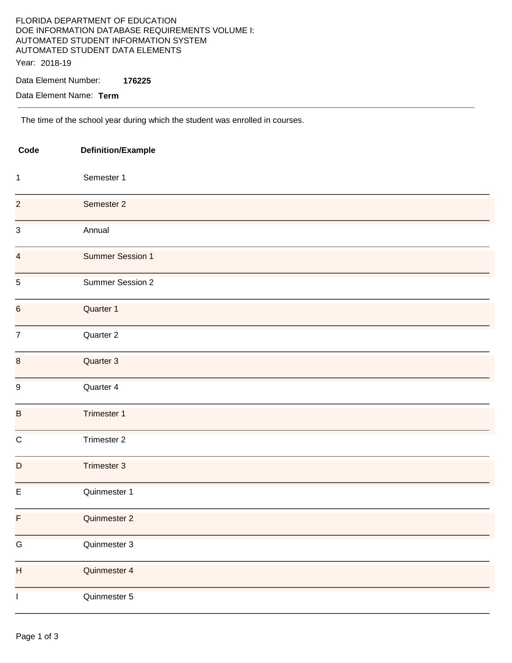## FLORIDA DEPARTMENT OF EDUCATION DOE INFORMATION DATABASE REQUIREMENTS VOLUME I: AUTOMATED STUDENT INFORMATION SYSTEM AUTOMATED STUDENT DATA ELEMENTS Year: 2018-19

### Data Element Number: **176225**

Data Element Name: **Term** 

The time of the school year during which the student was enrolled in courses.

| Code                      | <b>Definition/Example</b> |  |
|---------------------------|---------------------------|--|
| $\mathbf{1}$              | Semester 1                |  |
| $\overline{c}$            | Semester 2                |  |
| $\mathsf 3$               | Annual                    |  |
| $\overline{4}$            | <b>Summer Session 1</b>   |  |
| $\sqrt{5}$                | Summer Session 2          |  |
| $\boldsymbol{6}$          | Quarter 1                 |  |
| $\boldsymbol{7}$          | Quarter 2                 |  |
| $\bf 8$                   | Quarter 3                 |  |
| $\boldsymbol{9}$          | Quarter 4                 |  |
| $\sf B$                   | Trimester 1               |  |
| $\mathsf C$               | Trimester 2               |  |
| $\mathsf D$               | Trimester 3               |  |
| $\mathsf E$               | Quinmester 1              |  |
| F                         | Quinmester 2              |  |
| ${\mathsf G}$             | Quinmester 3              |  |
| $\boldsymbol{\mathsf{H}}$ | Quinmester 4              |  |
| $\mathbf{I}$              | Quinmester 5              |  |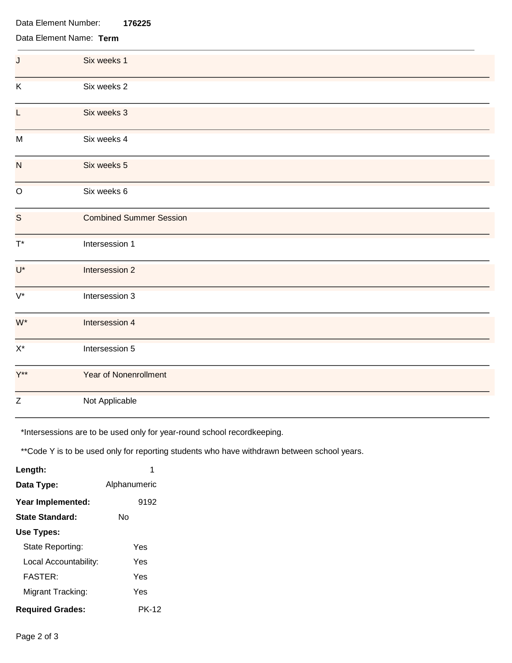| Data Element Number:<br>176225 |                                |  |  |
|--------------------------------|--------------------------------|--|--|
| Data Element Name: Term        |                                |  |  |
| J                              | Six weeks 1                    |  |  |
| K                              | Six weeks 2                    |  |  |
| L                              | Six weeks 3                    |  |  |
| M                              | Six weeks 4                    |  |  |
| N                              | Six weeks 5                    |  |  |
| O                              | Six weeks 6                    |  |  |
| S                              | <b>Combined Summer Session</b> |  |  |
| $\mathsf{T}^{\star}$           | Intersession 1                 |  |  |
| $U^*$                          | Intersession 2                 |  |  |
| $V^*$                          | Intersession 3                 |  |  |
| W*                             | Intersession 4                 |  |  |
| $X^*$                          | Intersession 5                 |  |  |
| $Y^{\star\star}$               | <b>Year of Nonenrollment</b>   |  |  |
| Z                              | Not Applicable                 |  |  |

\*Intersessions are to be used only for year-round school recordkeeping.

\*\*Code Y is to be used only for reporting students who have withdrawn between school years.

| Length:                 |              |
|-------------------------|--------------|
| Data Type:              | Alphanumeric |
| Year Implemented:       | 9192         |
| State Standard:         | N٥           |
| Use Types:              |              |
| State Reporting:        | Yes          |
| Local Accountability:   | Yes          |
| <b>FASTER:</b>          | Yes          |
| Migrant Tracking:       | Yes          |
| <b>Required Grades:</b> | PK-12        |